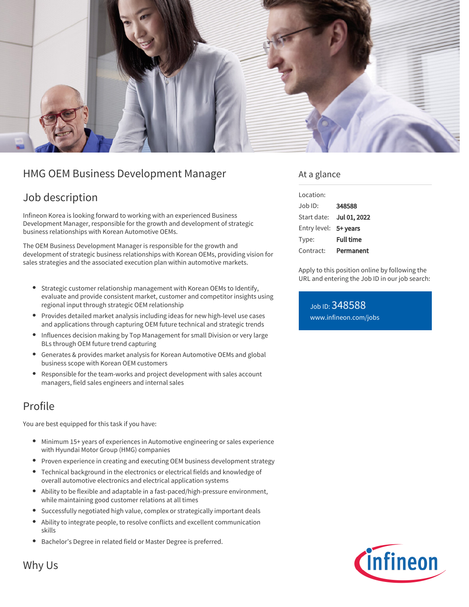

# HMG OEM Business Development Manager

# Job description

Infineon Korea is looking forward to working with an experienced Business Development Manager, responsible for the growth and development of strategic business relationships with Korean Automotive OEMs.

The OEM Business Development Manager is responsible for the growth and development of strategic business relationships with Korean OEMs, providing vision for sales strategies and the associated execution plan within automotive markets.

- Strategic customer relationship management with Korean OEMs to Identify, evaluate and provide consistent market, customer and competitor insights using regional input through strategic OEM relationship
- Provides detailed market analysis including ideas for new high-level use cases and applications through capturing OEM future technical and strategic trends
- Influences decision making by Top Management for small Division or very large BLs through OEM future trend capturing
- Generates & provides market analysis for Korean Automotive OEMs and global business scope with Korean OEM customers
- Responsible for the team-works and project development with sales account  $\bullet$ managers, field sales engineers and internal sales

## Profile

You are best equipped for this task if you have:

- Minimum 15+ years of experiences in Automotive engineering or sales experience with Hyundai Motor Group (HMG) companies
- Proven experience in creating and executing OEM business development strategy
- Technical background in the electronics or electrical fields and knowledge of overall automotive electronics and electrical application systems
- Ability to be flexible and adaptable in a fast-paced/high-pressure environment, while maintaining good customer relations at all times
- Successfully negotiated high value, complex or strategically important deals
- Ability to integrate people, to resolve conflicts and excellent communication skills
- **•** Bachelor's Degree in related field or Master Degree is preferred.

## At a glance

| Location:             |                  |
|-----------------------|------------------|
| Job ID:               | 348588           |
| Start date:           | Jul 01, 2022     |
| Entry level: 5+ years |                  |
| Type:                 | <b>Full time</b> |
| Contract:             | Permanent        |

Apply to this position online by following the URL and entering the Job ID in our job search:

Job ID: 348588 [www.infineon.com/jobs](https://www.infineon.com/jobs)



Why Us